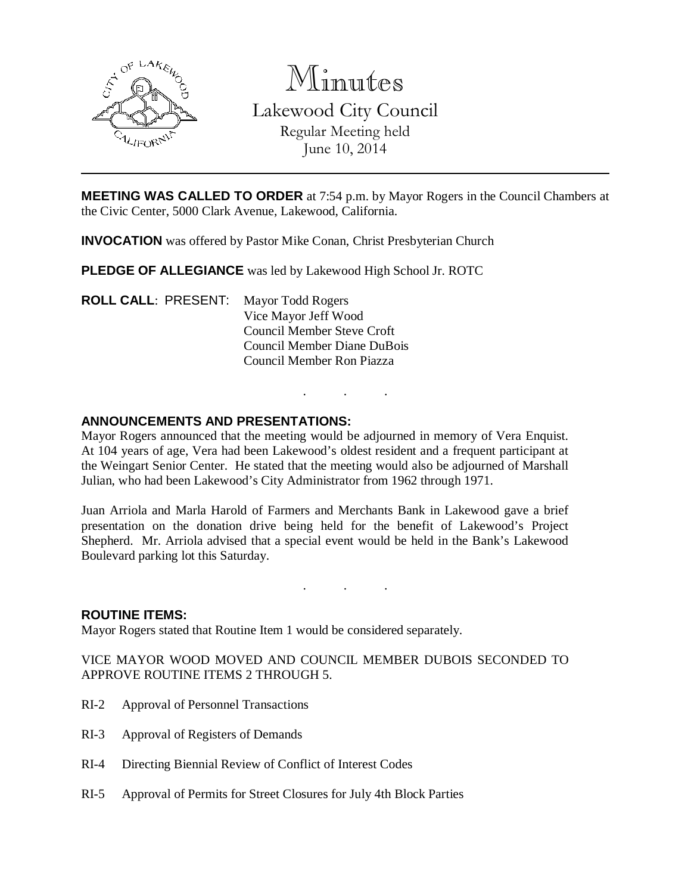

Minutes

Lakewood City Council Regular Meeting held June 10, 2014

**MEETING WAS CALLED TO ORDER** at 7:54 p.m. by Mayor Rogers in the Council Chambers at the Civic Center, 5000 Clark Avenue, Lakewood, California.

**INVOCATION** was offered by Pastor Mike Conan, Christ Presbyterian Church

**PLEDGE OF ALLEGIANCE** was led by Lakewood High School Jr. ROTC

**ROLL CALL**: PRESENT: Mayor Todd Rogers Vice Mayor Jeff Wood Council Member Steve Croft Council Member Diane DuBois Council Member Ron Piazza

# **ANNOUNCEMENTS AND PRESENTATIONS:**

Mayor Rogers announced that the meeting would be adjourned in memory of Vera Enquist. At 104 years of age, Vera had been Lakewood's oldest resident and a frequent participant at the Weingart Senior Center. He stated that the meeting would also be adjourned of Marshall Julian, who had been Lakewood's City Administrator from 1962 through 1971.

. . .

Juan Arriola and Marla Harold of Farmers and Merchants Bank in Lakewood gave a brief presentation on the donation drive being held for the benefit of Lakewood's Project Shepherd. Mr. Arriola advised that a special event would be held in the Bank's Lakewood Boulevard parking lot this Saturday.

. . .

#### **ROUTINE ITEMS:**

Mayor Rogers stated that Routine Item 1 would be considered separately.

VICE MAYOR WOOD MOVED AND COUNCIL MEMBER DUBOIS SECONDED TO APPROVE ROUTINE ITEMS 2 THROUGH 5.

- RI-2 Approval of Personnel Transactions
- RI-3 Approval of Registers of Demands
- RI-4 Directing Biennial Review of Conflict of Interest Codes
- RI-5 Approval of Permits for Street Closures for July 4th Block Parties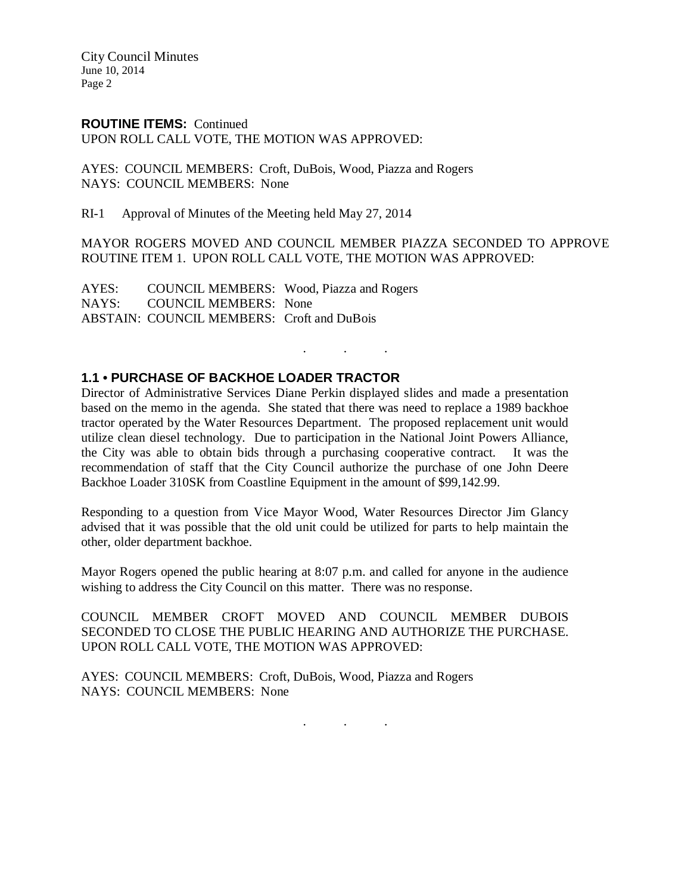City Council Minutes June 10, 2014 Page 2

### **ROUTINE ITEMS:** Continued

UPON ROLL CALL VOTE, THE MOTION WAS APPROVED:

AYES: COUNCIL MEMBERS: Croft, DuBois, Wood, Piazza and Rogers NAYS: COUNCIL MEMBERS: None

RI-1 Approval of Minutes of the Meeting held May 27, 2014

MAYOR ROGERS MOVED AND COUNCIL MEMBER PIAZZA SECONDED TO APPROVE ROUTINE ITEM 1. UPON ROLL CALL VOTE, THE MOTION WAS APPROVED:

. . .

AYES: COUNCIL MEMBERS: Wood, Piazza and Rogers NAYS: COUNCIL MEMBERS: None ABSTAIN: COUNCIL MEMBERS: Croft and DuBois

# **1.1 • PURCHASE OF BACKHOE LOADER TRACTOR**

Director of Administrative Services Diane Perkin displayed slides and made a presentation based on the memo in the agenda. She stated that there was need to replace a 1989 backhoe tractor operated by the Water Resources Department. The proposed replacement unit would utilize clean diesel technology. Due to participation in the National Joint Powers Alliance, the City was able to obtain bids through a purchasing cooperative contract. It was the recommendation of staff that the City Council authorize the purchase of one John Deere Backhoe Loader 310SK from Coastline Equipment in the amount of \$99,142.99.

Responding to a question from Vice Mayor Wood, Water Resources Director Jim Glancy advised that it was possible that the old unit could be utilized for parts to help maintain the other, older department backhoe.

Mayor Rogers opened the public hearing at 8:07 p.m. and called for anyone in the audience wishing to address the City Council on this matter. There was no response.

COUNCIL MEMBER CROFT MOVED AND COUNCIL MEMBER DUBOIS SECONDED TO CLOSE THE PUBLIC HEARING AND AUTHORIZE THE PURCHASE. UPON ROLL CALL VOTE, THE MOTION WAS APPROVED:

AYES: COUNCIL MEMBERS: Croft, DuBois, Wood, Piazza and Rogers NAYS: COUNCIL MEMBERS: None

. . .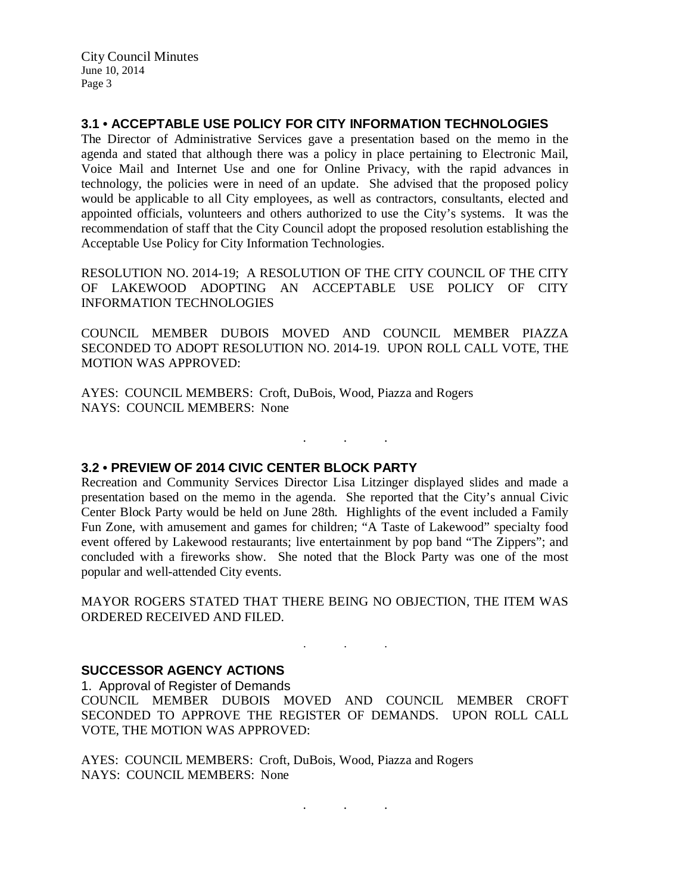City Council Minutes June 10, 2014 Page 3

**3.1 • ACCEPTABLE USE POLICY FOR CITY INFORMATION TECHNOLOGIES**

The Director of Administrative Services gave a presentation based on the memo in the agenda and stated that although there was a policy in place pertaining to Electronic Mail, Voice Mail and Internet Use and one for Online Privacy, with the rapid advances in technology, the policies were in need of an update. She advised that the proposed policy would be applicable to all City employees, as well as contractors, consultants, elected and appointed officials, volunteers and others authorized to use the City's systems. It was the recommendation of staff that the City Council adopt the proposed resolution establishing the Acceptable Use Policy for City Information Technologies.

RESOLUTION NO. 2014-19; A RESOLUTION OF THE CITY COUNCIL OF THE CITY OF LAKEWOOD ADOPTING AN ACCEPTABLE USE POLICY OF CITY INFORMATION TECHNOLOGIES

COUNCIL MEMBER DUBOIS MOVED AND COUNCIL MEMBER PIAZZA SECONDED TO ADOPT RESOLUTION NO. 2014-19. UPON ROLL CALL VOTE, THE MOTION WAS APPROVED:

AYES: COUNCIL MEMBERS: Croft, DuBois, Wood, Piazza and Rogers NAYS: COUNCIL MEMBERS: None

**3.2 • PREVIEW OF 2014 CIVIC CENTER BLOCK PARTY**

Recreation and Community Services Director Lisa Litzinger displayed slides and made a presentation based on the memo in the agenda. She reported that the City's annual Civic Center Block Party would be held on June 28th. Highlights of the event included a Family Fun Zone, with amusement and games for children; "A Taste of Lakewood" specialty food event offered by Lakewood restaurants; live entertainment by pop band "The Zippers"; and concluded with a fireworks show. She noted that the Block Party was one of the most popular and well-attended City events.

. . .

MAYOR ROGERS STATED THAT THERE BEING NO OBJECTION, THE ITEM WAS ORDERED RECEIVED AND FILED.

 $\mathbf{r}$  .  $\mathbf{r}$  ,  $\mathbf{r}$  ,  $\mathbf{r}$  ,  $\mathbf{r}$  ,  $\mathbf{r}$  ,  $\mathbf{r}$ 

**SUCCESSOR AGENCY ACTIONS**

1. Approval of Register of Demands COUNCIL MEMBER DUBOIS MOVED AND COUNCIL MEMBER CROFT SECONDED TO APPROVE THE REGISTER OF DEMANDS. UPON ROLL CALL VOTE, THE MOTION WAS APPROVED:

AYES: COUNCIL MEMBERS: Croft, DuBois, Wood, Piazza and Rogers NAYS: COUNCIL MEMBERS: None

. . .